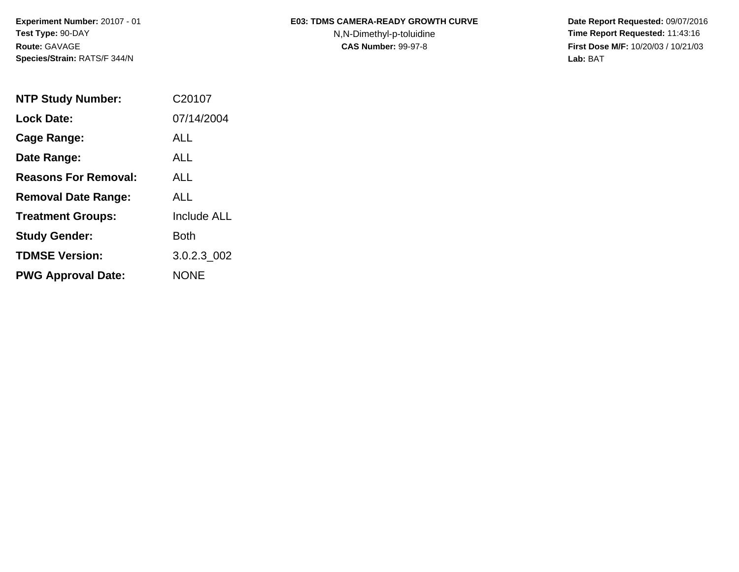**Experiment Number:** 20107 - 01 **Test Type:** 90-DAY **Route:** GAVAGE **Species/Strain:** RATS/F 344/N

## E03: TDMS CAMERA-READY GROWTH CURVE Date Report Requested: 09/07/2016

N,N-Dimethyl-p-toluidine **Time Report Requested:** 11:43:16 **CAS Number:** 99-97-8 **First Dose M/F:** 10/20/03 / 10/21/03 **Lab:** BAT

| <b>NTP Study Number:</b>    | C20107             |
|-----------------------------|--------------------|
| <b>Lock Date:</b>           | 07/14/2004         |
| Cage Range:                 | ALL                |
| Date Range:                 | AI L               |
| <b>Reasons For Removal:</b> | AI I               |
| <b>Removal Date Range:</b>  | AI L               |
| <b>Treatment Groups:</b>    | <b>Include ALL</b> |
| <b>Study Gender:</b>        | Both               |
| <b>TDMSE Version:</b>       | 3.0.2.3 002        |
| <b>PWG Approval Date:</b>   | <b>NONE</b>        |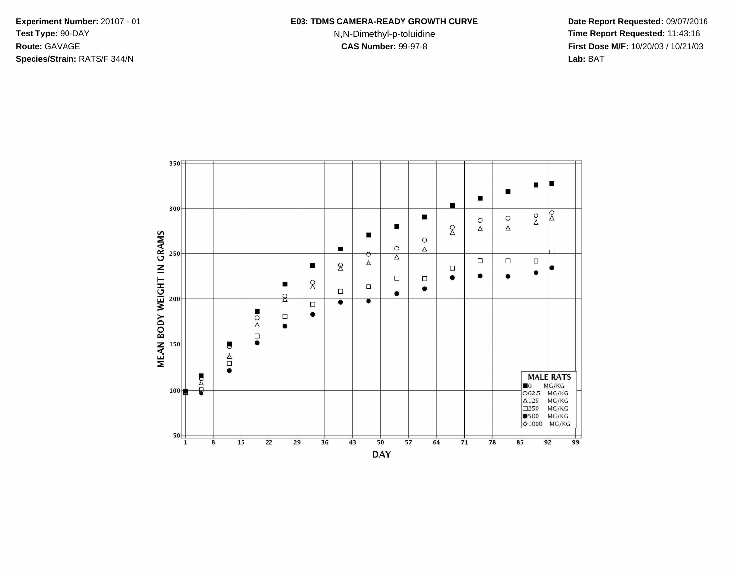**Species/Strain:** RATS/F 344/N **Lab:** BAT